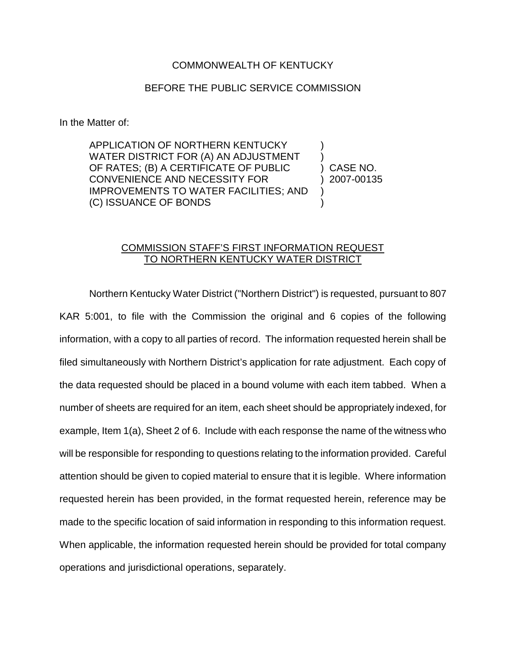## COMMONWEALTH OF KENTUCKY

## BEFORE THE PUBLIC SERVICE COMMISSION

In the Matter of:

APPLICATION OF NORTHERN KENTUCKY WATER DISTRICT FOR (A) AN ADJUSTMENT OF RATES; (B) A CERTIFICATE OF PUBLIC CONVENIENCE AND NECESSITY FOR IMPROVEMENTS TO WATER FACILITIES; AND (C) ISSUANCE OF BONDS ) ) ) CASE NO. ) 2007-00135  $\lambda$  $\lambda$ 

## COMMISSION STAFF'S FIRST INFORMATION REQUEST TO NORTHERN KENTUCKY WATER DISTRICT

Northern Kentucky Water District ("Northern District") is requested, pursuant to 807 KAR 5:001, to file with the Commission the original and 6 copies of the following information, with a copy to all parties of record. The information requested herein shall be filed simultaneously with Northern District's application for rate adjustment. Each copy of the data requested should be placed in a bound volume with each item tabbed. When a number of sheets are required for an item, each sheet should be appropriately indexed, for example, Item 1(a), Sheet 2 of 6. Include with each response the name of the witness who will be responsible for responding to questions relating to the information provided. Careful attention should be given to copied material to ensure that it is legible. Where information requested herein has been provided, in the format requested herein, reference may be made to the specific location of said information in responding to this information request. When applicable, the information requested herein should be provided for total company operations and jurisdictional operations, separately.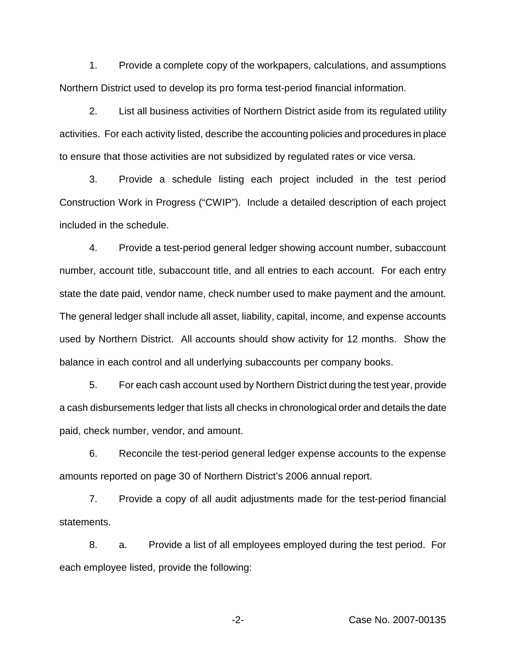1. Provide a complete copy of the workpapers, calculations, and assumptions Northern District used to develop its pro forma test-period financial information.

2. List all business activities of Northern District aside from its regulated utility activities. For each activity listed, describe the accounting policies and procedures in place to ensure that those activities are not subsidized by regulated rates or vice versa.

3. Provide a schedule listing each project included in the test period Construction Work in Progress ("CWIP"). Include a detailed description of each project included in the schedule.

4. Provide a test-period general ledger showing account number, subaccount number, account title, subaccount title, and all entries to each account. For each entry state the date paid, vendor name, check number used to make payment and the amount. The general ledger shall include all asset, liability, capital, income, and expense accounts used by Northern District. All accounts should show activity for 12 months. Show the balance in each control and all underlying subaccounts per company books.

5. For each cash account used by Northern District during the test year, provide a cash disbursements ledger that lists all checks in chronological order and details the date paid, check number, vendor, and amount.

6. Reconcile the test-period general ledger expense accounts to the expense amounts reported on page 30 of Northern District's 2006 annual report.

7. Provide a copy of all audit adjustments made for the test-period financial statements.

8. a. Provide a list of all employees employed during the test period. For each employee listed, provide the following:

-2- Case No. 2007-00135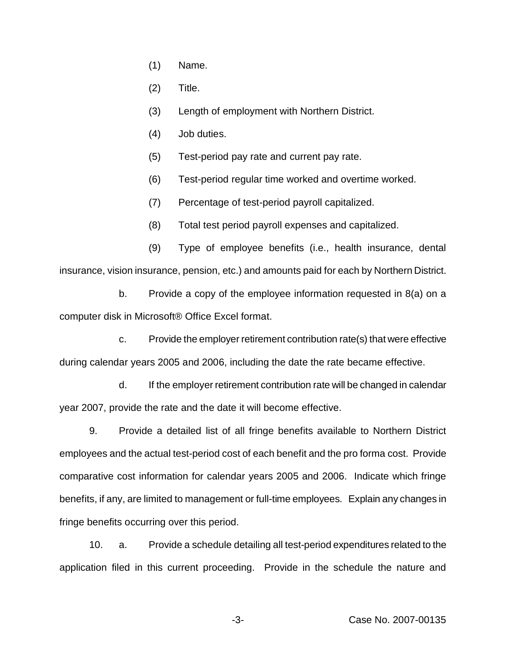- (1) Name.
- (2) Title.
- (3) Length of employment with Northern District.
- (4) Job duties.
- (5) Test-period pay rate and current pay rate.
- (6) Test-period regular time worked and overtime worked.
- (7) Percentage of test-period payroll capitalized.
- (8) Total test period payroll expenses and capitalized.

(9) Type of employee benefits (i.e., health insurance, dental insurance, vision insurance, pension, etc.) and amounts paid for each by Northern District.

b. Provide a copy of the employee information requested in 8(a) on a computer disk in Microsoft® Office Excel format.

c. Provide the employer retirement contribution rate(s) that were effective during calendar years 2005 and 2006, including the date the rate became effective.

d. If the employer retirement contribution rate will be changed in calendar year 2007, provide the rate and the date it will become effective.

9. Provide a detailed list of all fringe benefits available to Northern District employees and the actual test-period cost of each benefit and the pro forma cost. Provide comparative cost information for calendar years 2005 and 2006. Indicate which fringe benefits, if any, are limited to management or full-time employees. Explain any changes in fringe benefits occurring over this period.

10. a. Provide a schedule detailing all test-period expenditures related to the application filed in this current proceeding. Provide in the schedule the nature and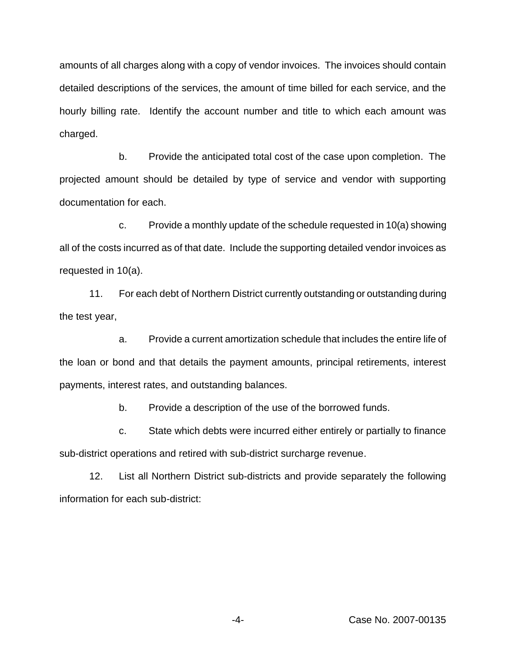amounts of all charges along with a copy of vendor invoices. The invoices should contain detailed descriptions of the services, the amount of time billed for each service, and the hourly billing rate. Identify the account number and title to which each amount was charged.

b. Provide the anticipated total cost of the case upon completion. The projected amount should be detailed by type of service and vendor with supporting documentation for each.

c. Provide a monthly update of the schedule requested in 10(a) showing all of the costs incurred as of that date. Include the supporting detailed vendor invoices as requested in 10(a).

11. For each debt of Northern District currently outstanding or outstanding during the test year,

a. Provide a current amortization schedule that includes the entire life of the loan or bond and that details the payment amounts, principal retirements, interest payments, interest rates, and outstanding balances.

b. Provide a description of the use of the borrowed funds.

c. State which debts were incurred either entirely or partially to finance sub-district operations and retired with sub-district surcharge revenue.

12. List all Northern District sub-districts and provide separately the following information for each sub-district:

-4- Case No. 2007-00135